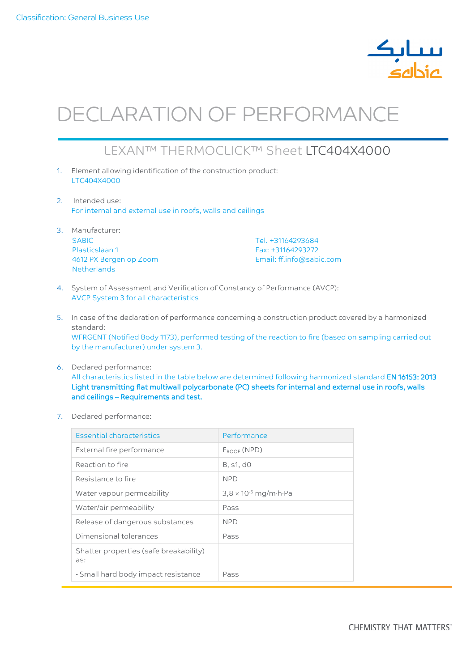

## DECLARATION OF PERFORMANCE

## LEXAN™ THERMOCLICK™ Sheet LTC404X4000

- 1. Element allowing identification of the construction product: LTC404X4000
- 2. Intended use: For internal and external use in roofs, walls and ceilings
- 3. Manufacturer: SABIC Plasticslaan 1 4612 PX Bergen op Zoom **Netherlands**

Tel. +31164293684 Fax: +31164293272 Email: ff.info@sabic.com

- 4. System of Assessment and Verification of Constancy of Performance (AVCP): AVCP System 3 for all characteristics
- 5. In case of the declaration of performance concerning a construction product covered by a harmonized standard: WFRGENT (Notified Body 1173), performed testing of the reaction to fire (based on sampling carried out by the manufacturer) under system 3.
- 6. Declared performance: All characteristics listed in the table below are determined following harmonized standard EN 16153: 2013 Light transmitting flat multiwall polycarbonate (PC) sheets for internal and external use in roofs, walls and ceilings – Requirements and test.
- 7. Declared performance:

| Essential characteristics                     | Performance                                    |
|-----------------------------------------------|------------------------------------------------|
| External fire performance                     | $F_{ROOF} (NPD)$                               |
| Reaction to fire                              | B, s1, d0                                      |
| Resistance to fire                            | <b>NPD</b>                                     |
| Water vapour permeability                     | $3,8 \times 10^{-5}$ mg/m $\cdot$ h $\cdot$ Pa |
| Water/air permeability                        | Pass                                           |
| Release of dangerous substances               | <b>NPD</b>                                     |
| Dimensional tolerances                        | Pass                                           |
| Shatter properties (safe breakability)<br>as: |                                                |
| - Small hard body impact resistance           | Pass                                           |